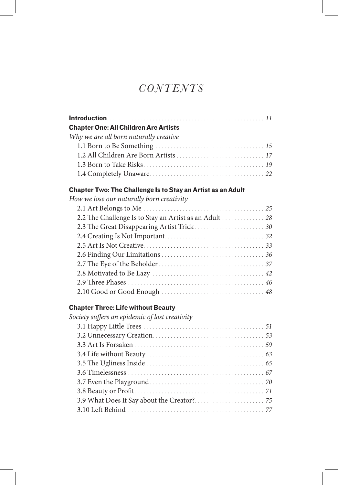# *Contents*

| <b>Chapter One: All Children Are Artists</b>                |  |
|-------------------------------------------------------------|--|
| Why we are all born naturally creative                      |  |
|                                                             |  |
|                                                             |  |
|                                                             |  |
|                                                             |  |
| Chapter Two: The Challenge Is to Stay an Artist as an Adult |  |
| How we lose our naturally born creativity                   |  |
|                                                             |  |
| 2.2 The Challenge Is to Stay an Artist as an Adult  28      |  |
|                                                             |  |
|                                                             |  |
|                                                             |  |
|                                                             |  |
|                                                             |  |
|                                                             |  |
|                                                             |  |
|                                                             |  |
| <b>Chapter Three: Life without Beauty</b>                   |  |
| Society suffers an epidemic of lost creativity              |  |
|                                                             |  |
|                                                             |  |
|                                                             |  |
|                                                             |  |
|                                                             |  |
|                                                             |  |
|                                                             |  |
|                                                             |  |
|                                                             |  |
|                                                             |  |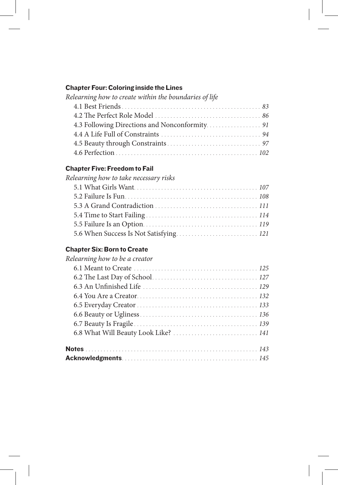### Chapter Four: Coloring inside the Lines

| Relearning how to create within the boundaries of life |  |
|--------------------------------------------------------|--|
|                                                        |  |
|                                                        |  |
|                                                        |  |
|                                                        |  |
|                                                        |  |
|                                                        |  |

### Chapter Five: Freedom to Fail

| Relearning how to take necessary risks |  |
|----------------------------------------|--|
|                                        |  |
|                                        |  |
|                                        |  |
|                                        |  |
|                                        |  |
|                                        |  |
|                                        |  |

# Chapter Six: Born to Create

| Relearning how to be a creator       |
|--------------------------------------|
|                                      |
|                                      |
|                                      |
|                                      |
|                                      |
|                                      |
|                                      |
| 6.8 What Will Beauty Look Like?  141 |
|                                      |
|                                      |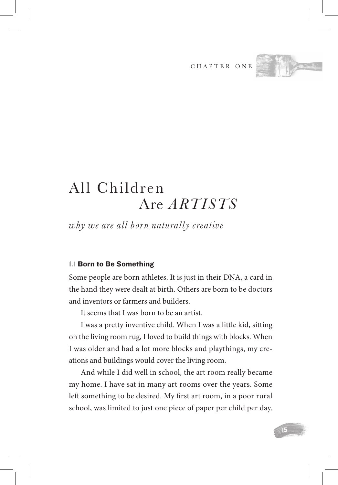CHAPTER ONE



# All Children Are *Artists*

*why we are all born naturally creative*

#### 1.1 Born to Be Something

Some people are born athletes. It is just in their DNA, a card in the hand they were dealt at birth. Others are born to be doctors and inventors or farmers and builders.

It seems that I was born to be an artist.

I was a pretty inventive child. When I was a little kid, sitting on the living room rug, I loved to build things with blocks. When I was older and had a lot more blocks and playthings, my creations and buildings would cover the living room.

And while I did well in school, the art room really became my home. I have sat in many art rooms over the years. Some left something to be desired. My first art room, in a poor rural school, was limited to just one piece of paper per child per day.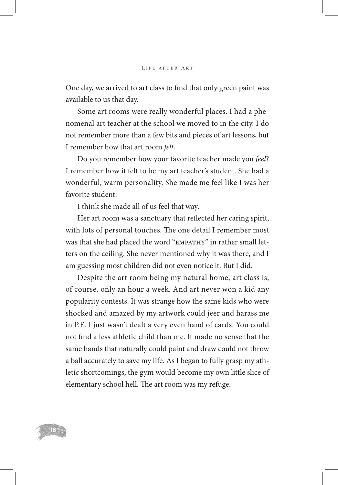One day, we arrived to art class to find that only green paint was available to us that day.

Some art rooms were really wonderful places. I had a phenomenal art teacher at the school we moved to in the city. I do not remember more than a few bits and pieces of art lessons, but I remember how that art room *felt.*

Do you remember how your favorite teacher made you *feel*? I remember how it felt to be my art teacher's student. She had a wonderful, warm personality. She made me feel like I was her favorite student.

I think she made all of us feel that way.

Her art room was a sanctuary that reflected her caring spirit, with lots of personal touches. The one detail I remember most was that she had placed the word "empathy" in rather small letters on the ceiling. She never mentioned why it was there, and I am guessing most children did not even notice it. But I did.

Despite the art room being my natural home, art class is, of course, only an hour a week. And art never won a kid any popularity contests. It was strange how the same kids who were shocked and amazed by my artwork could jeer and harass me in P.E. I just wasn't dealt a very even hand of cards. You could not find a less athletic child than me. It made no sense that the same hands that naturally could paint and draw could not throw a ball accurately to save my life. As I began to fully grasp my athletic shortcomings, the gym would become my own little slice of elementary school hell. The art room was my refuge.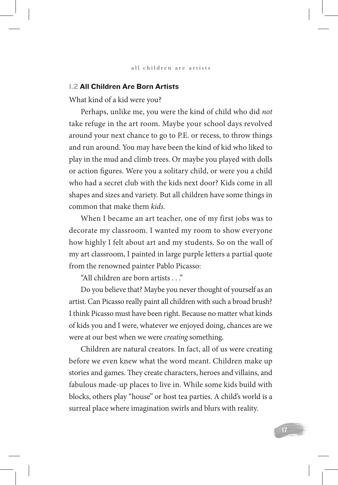#### 1.2 All Children Are Born Artists

What kind of a kid were you?

Perhaps, unlike me, you were the kind of child who did *not* take refuge in the art room. Maybe your school days revolved around your next chance to go to P.E. or recess, to throw things and run around. You may have been the kind of kid who liked to play in the mud and climb trees. Or maybe you played with dolls or action figures. Were you a solitary child, or were you a child who had a secret club with the kids next door? Kids come in all shapes and sizes and variety. But all children have some things in common that make them *kids.* 

When I became an art teacher, one of my first jobs was to decorate my classroom. I wanted my room to show everyone how highly I felt about art and my students. So on the wall of my art classroom, I painted in large purple letters a partial quote from the renowned painter Pablo Picasso:

"All children are born artists . . ."

Do you believe that? Maybe you never thought of yourself as an artist. Can Picasso really paint all children with such a broad brush? I think Picasso must have been right. Because no matter what kinds of kids you and I were, whatever we enjoyed doing, chances are we were at our best when we were *creating* something.

Children are natural creators. In fact, all of us were creating before we even knew what the word meant. Children make up stories and games. They create characters, heroes and villains, and fabulous made-up places to live in. While some kids build with blocks, others play "house" or host tea parties. A child's world is a surreal place where imagination swirls and blurs with reality.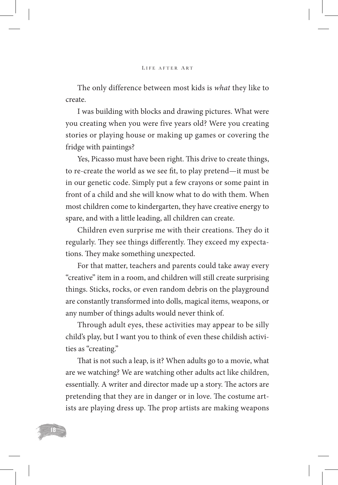The only difference between most kids is *what* they like to create.

I was building with blocks and drawing pictures. What were you creating when you were five years old? Were you creating stories or playing house or making up games or covering the fridge with paintings?

Yes, Picasso must have been right. This drive to create things, to re-create the world as we see fit, to play pretend—it must be in our genetic code. Simply put a few crayons or some paint in front of a child and she will know what to do with them. When most children come to kindergarten, they have creative energy to spare, and with a little leading, all children can create.

Children even surprise me with their creations. They do it regularly. They see things differently. They exceed my expectations. They make something unexpected.

For that matter, teachers and parents could take away every "creative" item in a room, and children will still create surprising things. Sticks, rocks, or even random debris on the playground are constantly transformed into dolls, magical items, weapons, or any number of things adults would never think of.

Through adult eyes, these activities may appear to be silly child's play, but I want you to think of even these childish activities as "creating."

That is not such a leap, is it? When adults go to a movie, what are we watching? We are watching other adults act like children, essentially. A writer and director made up a story. The actors are pretending that they are in danger or in love. The costume artists are playing dress up. The prop artists are making weapons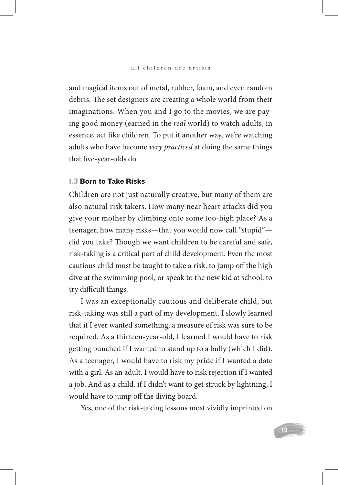and magical items out of metal, rubber, foam, and even random debris. The set designers are creating a whole world from their imaginations. When you and I go to the movies, we are paying good money (earned in the *real* world) to watch adults, in essence, act like children. To put it another way, we're watching adults who have become *very practiced* at doing the same things that five-year-olds do.

#### 1.3 Born to Take Risks

Children are not just naturally creative, but many of them are also natural risk takers. How many near heart attacks did you give your mother by climbing onto some too-high place? As a teenager, how many risks—that you would now call "stupid" did you take? Though we want children to be careful and safe, risk-taking is a critical part of child development. Even the most cautious child must be taught to take a risk, to jump off the high dive at the swimming pool, or speak to the new kid at school, to try difficult things.

I was an exceptionally cautious and deliberate child, but risk-taking was still a part of my development. I slowly learned that if I ever wanted something, a measure of risk was sure to be required. As a thirteen-year-old, I learned I would have to risk getting punched if I wanted to stand up to a bully (which I did). As a teenager, I would have to risk my pride if I wanted a date with a girl. As an adult, I would have to risk rejection if I wanted a job. And as a child, if I didn't want to get struck by lightning, I would have to jump off the diving board.

Yes, one of the risk-taking lessons most vividly imprinted on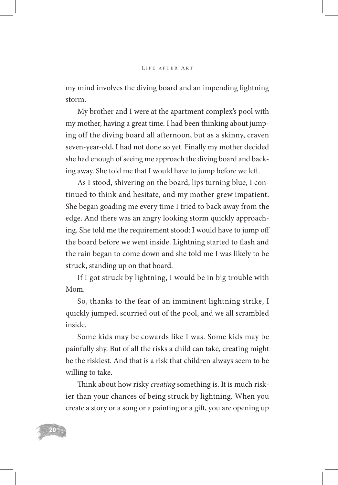my mind involves the diving board and an impending lightning storm.

My brother and I were at the apartment complex's pool with my mother, having a great time. I had been thinking about jumping off the diving board all afternoon, but as a skinny, craven seven-year-old, I had not done so yet. Finally my mother decided she had enough of seeing me approach the diving board and backing away. She told me that I would have to jump before we left.

As I stood, shivering on the board, lips turning blue, I continued to think and hesitate, and my mother grew impatient. She began goading me every time I tried to back away from the edge. And there was an angry looking storm quickly approaching. She told me the requirement stood: I would have to jump off the board before we went inside. Lightning started to flash and the rain began to come down and she told me I was likely to be struck, standing up on that board.

If I got struck by lightning, I would be in big trouble with Mom.

So, thanks to the fear of an imminent lightning strike, I quickly jumped, scurried out of the pool, and we all scrambled inside.

Some kids may be cowards like I was. Some kids may be painfully shy. But of all the risks a child can take, creating might be the riskiest. And that is a risk that children always seem to be willing to take.

Think about how risky *creating* something is. It is much riskier than your chances of being struck by lightning. When you create a story or a song or a painting or a gift, you are opening up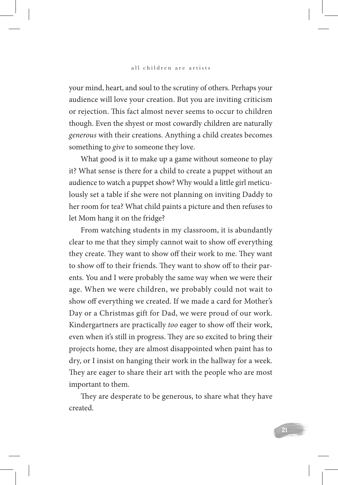your mind, heart, and soul to the scrutiny of others. Perhaps your audience will love your creation. But you are inviting criticism or rejection. This fact almost never seems to occur to children though. Even the shyest or most cowardly children are naturally *generous* with their creations. Anything a child creates becomes something to *give* to someone they love.

What good is it to make up a game without someone to play it? What sense is there for a child to create a puppet without an audience to watch a puppet show? Why would a little girl meticulously set a table if she were not planning on inviting Daddy to her room for tea? What child paints a picture and then refuses to let Mom hang it on the fridge?

From watching students in my classroom, it is abundantly clear to me that they simply cannot wait to show off everything they create. They want to show off their work to me. They want to show off to their friends. They want to show off to their parents. You and I were probably the same way when we were their age. When we were children, we probably could not wait to show off everything we created. If we made a card for Mother's Day or a Christmas gift for Dad, we were proud of our work. Kindergartners are practically *too* eager to show off their work, even when it's still in progress. They are so excited to bring their projects home, they are almost disappointed when paint has to dry, or I insist on hanging their work in the hallway for a week. They are eager to share their art with the people who are most important to them.

They are desperate to be generous, to share what they have created.

21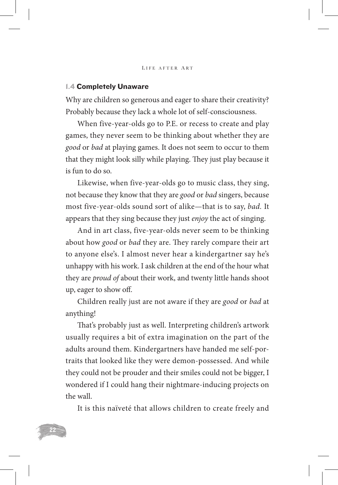#### 1.4 Completely Unaware

Why are children so generous and eager to share their creativity? Probably because they lack a whole lot of self-consciousness.

When five-year-olds go to P.E. or recess to create and play games, they never seem to be thinking about whether they are *good* or *bad* at playing games. It does not seem to occur to them that they might look silly while playing. They just play because it is fun to do so.

Likewise, when five-year-olds go to music class, they sing, not because they know that they are *good* or *bad* singers, because most five-year-olds sound sort of alike—that is to say, *bad.* It appears that they sing because they just *enjoy* the act of singing.

And in art class, five-year-olds never seem to be thinking about how *good* or *bad* they are. They rarely compare their art to anyone else's. I almost never hear a kindergartner say he's unhappy with his work. I ask children at the end of the hour what they are *proud of* about their work, and twenty little hands shoot up, eager to show off.

Children really just are not aware if they are *good* or *bad* at anything!

That's probably just as well. Interpreting children's artwork usually requires a bit of extra imagination on the part of the adults around them. Kindergartners have handed me self-portraits that looked like they were demon-possessed. And while they could not be prouder and their smiles could not be bigger, I wondered if I could hang their nightmare-inducing projects on the wall.

It is this naïveté that allows children to create freely and

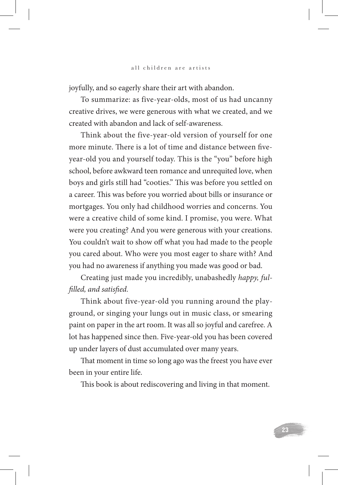joyfully, and so eagerly share their art with abandon.

To summarize: as five-year-olds, most of us had uncanny creative drives, we were generous with what we created, and we created with abandon and lack of self-awareness.

Think about the five-year-old version of yourself for one more minute. There is a lot of time and distance between fiveyear-old you and yourself today. This is the "you" before high school, before awkward teen romance and unrequited love, when boys and girls still had "cooties." This was before you settled on a career. This was before you worried about bills or insurance or mortgages. You only had childhood worries and concerns. You were a creative child of some kind. I promise, you were. What were you creating? And you were generous with your creations. You couldn't wait to show off what you had made to the people you cared about. Who were you most eager to share with? And you had no awareness if anything you made was good or bad.

Creating just made you incredibly, unabashedly *happy, fulfilled, and satisfied.* 

Think about five-year-old you running around the playground, or singing your lungs out in music class, or smearing paint on paper in the art room. It was all so joyful and carefree. A lot has happened since then. Five-year-old you has been covered up under layers of dust accumulated over many years.

That moment in time so long ago was the freest you have ever been in your entire life.

This book is about rediscovering and living in that moment.